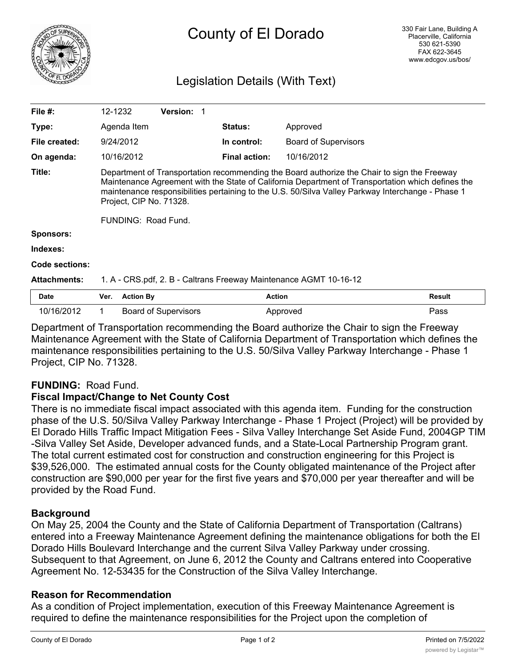

# County of El Dorado

## Legislation Details (With Text)

| File $#$ :          | 12-1232                                                                                                                                                                                                                                                                                                                                                 |                  | <b>Version: 1</b>           |                      |                             |               |
|---------------------|---------------------------------------------------------------------------------------------------------------------------------------------------------------------------------------------------------------------------------------------------------------------------------------------------------------------------------------------------------|------------------|-----------------------------|----------------------|-----------------------------|---------------|
| Type:               |                                                                                                                                                                                                                                                                                                                                                         | Agenda Item      |                             | <b>Status:</b>       | Approved                    |               |
| File created:       |                                                                                                                                                                                                                                                                                                                                                         | 9/24/2012        |                             | In control:          | <b>Board of Supervisors</b> |               |
| On agenda:          |                                                                                                                                                                                                                                                                                                                                                         | 10/16/2012       |                             | <b>Final action:</b> | 10/16/2012                  |               |
| Title:              | Department of Transportation recommending the Board authorize the Chair to sign the Freeway<br>Maintenance Agreement with the State of California Department of Transportation which defines the<br>maintenance responsibilities pertaining to the U.S. 50/Silva Valley Parkway Interchange - Phase 1<br>Project, CIP No. 71328.<br>FUNDING: Road Fund. |                  |                             |                      |                             |               |
| <b>Sponsors:</b>    |                                                                                                                                                                                                                                                                                                                                                         |                  |                             |                      |                             |               |
| Indexes:            |                                                                                                                                                                                                                                                                                                                                                         |                  |                             |                      |                             |               |
| Code sections:      |                                                                                                                                                                                                                                                                                                                                                         |                  |                             |                      |                             |               |
| <b>Attachments:</b> | 1. A - CRS.pdf, 2. B - Caltrans Freeway Maintenance AGMT 10-16-12                                                                                                                                                                                                                                                                                       |                  |                             |                      |                             |               |
| <b>Date</b>         | Ver.                                                                                                                                                                                                                                                                                                                                                    | <b>Action By</b> |                             | <b>Action</b>        |                             | <b>Result</b> |
| 10/16/2012          |                                                                                                                                                                                                                                                                                                                                                         |                  | <b>Board of Supervisors</b> |                      | Approved                    | Pass          |

Department of Transportation recommending the Board authorize the Chair to sign the Freeway Maintenance Agreement with the State of California Department of Transportation which defines the maintenance responsibilities pertaining to the U.S. 50/Silva Valley Parkway Interchange - Phase 1 Project, CIP No. 71328.

### **FUNDING:** Road Fund.

#### **Fiscal Impact/Change to Net County Cost**

There is no immediate fiscal impact associated with this agenda item. Funding for the construction phase of the U.S. 50/Silva Valley Parkway Interchange - Phase 1 Project (Project) will be provided by El Dorado Hills Traffic Impact Mitigation Fees - Silva Valley Interchange Set Aside Fund, 2004GP TIM -Silva Valley Set Aside, Developer advanced funds, and a State-Local Partnership Program grant. The total current estimated cost for construction and construction engineering for this Project is \$39,526,000. The estimated annual costs for the County obligated maintenance of the Project after construction are \$90,000 per year for the first five years and \$70,000 per year thereafter and will be provided by the Road Fund.

#### **Background**

On May 25, 2004 the County and the State of California Department of Transportation (Caltrans) entered into a Freeway Maintenance Agreement defining the maintenance obligations for both the El Dorado Hills Boulevard Interchange and the current Silva Valley Parkway under crossing. Subsequent to that Agreement, on June 6, 2012 the County and Caltrans entered into Cooperative Agreement No. 12-53435 for the Construction of the Silva Valley Interchange.

#### **Reason for Recommendation**

As a condition of Project implementation, execution of this Freeway Maintenance Agreement is required to define the maintenance responsibilities for the Project upon the completion of